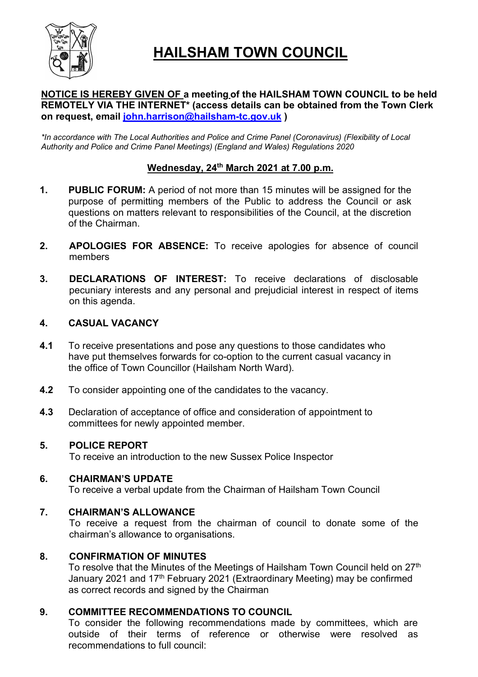

# **HAILSHAM TOWN COUNCIL**

# **NOTICE IS HEREBY GIVEN OF a meeting of the HAILSHAM TOWN COUNCIL to be held REMOTELY VIA THE INTERNET\* (access details can be obtained from the Town Clerk on request, email john.harrison@hailsham-tc.gov.uk )**

*\*In accordance with The Local Authorities and Police and Crime Panel (Coronavirus) (Flexibility of Local Authority and Police and Crime Panel Meetings) (England and Wales) Regulations 2020*

# **Wednesday, 24 th March 2021 at 7.00 p.m.**

- **1. PUBLIC FORUM:** A period of not more than 15 minutes will be assigned for the purpose of permitting members of the Public to address the Council or ask questions on matters relevant to responsibilities of the Council, at the discretion of the Chairman.
- **2. APOLOGIES FOR ABSENCE:** To receive apologies for absence of council members
- **3. DECLARATIONS OF INTEREST:** To receive declarations of disclosable pecuniary interests and any personal and prejudicial interest in respect of items on this agenda.

# **4. CASUAL VACANCY**

- **4.1** To receive presentations and pose any questions to those candidates who have put themselves forwards for co-option to the current casual vacancy in the office of Town Councillor (Hailsham North Ward).
- **4.2** To consider appointing one of the candidates to the vacancy.
- **4.3** Declaration of acceptance of office and consideration of appointment to committees for newly appointed member.

# **5. POLICE REPORT**

To receive an introduction to the new Sussex Police Inspector

#### **6. CHAIRMAN'S UPDATE**

To receive a verbal update from the Chairman of Hailsham Town Council

# **7. CHAIRMAN'S ALLOWANCE**

To receive a request from the chairman of council to donate some of the chairman's allowance to organisations.

# **8. CONFIRMATION OF MINUTES**

To resolve that the Minutes of the Meetings of Hailsham Town Council held on 27 $^{\text{th}}$ January 2021 and 17<sup>th</sup> February 2021 (Extraordinary Meeting) may be confirmed as correct records and signed by the Chairman

# **9. COMMITTEE RECOMMENDATIONS TO COUNCIL**

To consider the following recommendations made by committees, which are outside of their terms of reference or otherwise were resolved as recommendations to full council: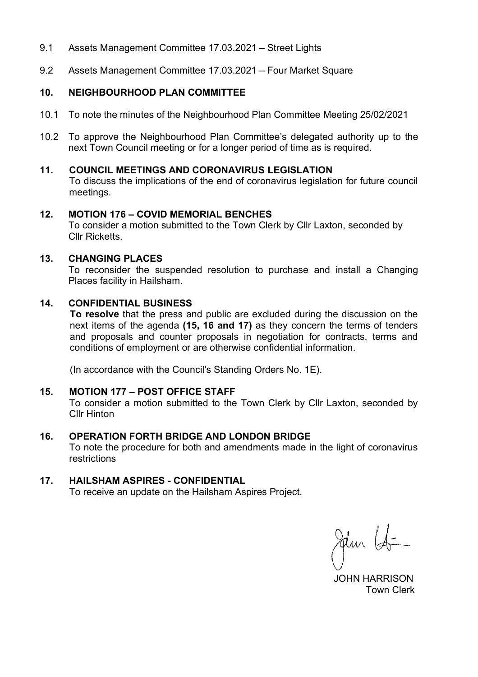- 9.1 Assets Management Committee 17.03.2021 Street Lights
- 9.2 Assets Management Committee 17.03.2021 Four Market Square

# **10. NEIGHBOURHOOD PLAN COMMITTEE**

- 10.1 To note the minutes of the Neighbourhood Plan Committee Meeting 25/02/2021
- 10.2 To approve the Neighbourhood Plan Committee's delegated authority up to the next Town Council meeting or for a longer period of time as is required.

#### **11. COUNCIL MEETINGS AND CORONAVIRUS LEGISLATION**

To discuss the implications of the end of coronavirus legislation for future council meetings.

#### **12. MOTION 176 – COVID MEMORIAL BENCHES**

To consider a motion submitted to the Town Clerk by Cllr Laxton, seconded by Cllr Ricketts.

#### **13. CHANGING PLACES**

To reconsider the suspended resolution to purchase and install a Changing Places facility in Hailsham.

#### **14. CONFIDENTIAL BUSINESS**

**To resolve** that the press and public are excluded during the discussion on the next items of the agenda **(15, 16 and 17)** as they concern the terms of tenders and proposals and counter proposals in negotiation for contracts, terms and conditions of employment or are otherwise confidential information.

(In accordance with the Council's Standing Orders No. 1E).

# **15. MOTION 177 – POST OFFICE STAFF**

To consider a motion submitted to the Town Clerk by Cllr Laxton, seconded by Cllr Hinton

# **16. OPERATION FORTH BRIDGE AND LONDON BRIDGE**

To note the procedure for both and amendments made in the light of coronavirus restrictions

# **17. HAILSHAM ASPIRES - CONFIDENTIAL**

To receive an update on the Hailsham Aspires Project.

Jehn La-

 JOHN HARRISON Town Clerk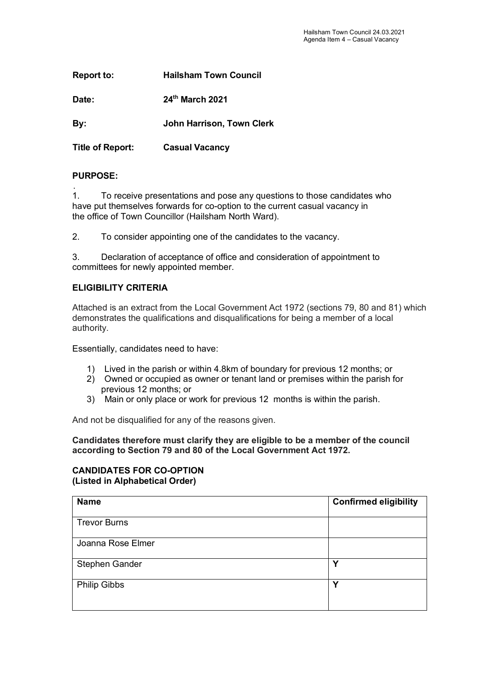| <b>Report to:</b>       | <b>Hailsham Town Council</b>     |
|-------------------------|----------------------------------|
| Date:                   | 24th March 2021                  |
| By:                     | <b>John Harrison, Town Clerk</b> |
| <b>Title of Report:</b> | <b>Casual Vacancy</b>            |

# **PURPOSE:**

. 1. To receive presentations and pose any questions to those candidates who have put themselves forwards for co-option to the current casual vacancy in the office of Town Councillor (Hailsham North Ward).

2. To consider appointing one of the candidates to the vacancy.

3. Declaration of acceptance of office and consideration of appointment to committees for newly appointed member.

# **ELIGIBILITY CRITERIA**

Attached is an extract from the Local Government Act 1972 (sections 79, 80 and 81) which demonstrates the qualifications and disqualifications for being a member of a local authority.

Essentially, candidates need to have:

- 1) Lived in the parish or within 4.8km of boundary for previous 12 months; or
- 2) Owned or occupied as owner or tenant land or premises within the parish for previous 12 months; or
- 3) Main or only place or work for previous 12 months is within the parish.

And not be disqualified for any of the reasons given.

**Candidates therefore must clarify they are eligible to be a member of the council according to Section 79 and 80 of the Local Government Act 1972.**

#### **CANDIDATES FOR CO-OPTION (Listed in Alphabetical Order)**

| <b>Name</b>         | <b>Confirmed eligibility</b> |
|---------------------|------------------------------|
|                     |                              |
| <b>Trevor Burns</b> |                              |
| Joanna Rose Elmer   |                              |
| Stephen Gander      | $\checkmark$                 |
| <b>Philip Gibbs</b> | Υ                            |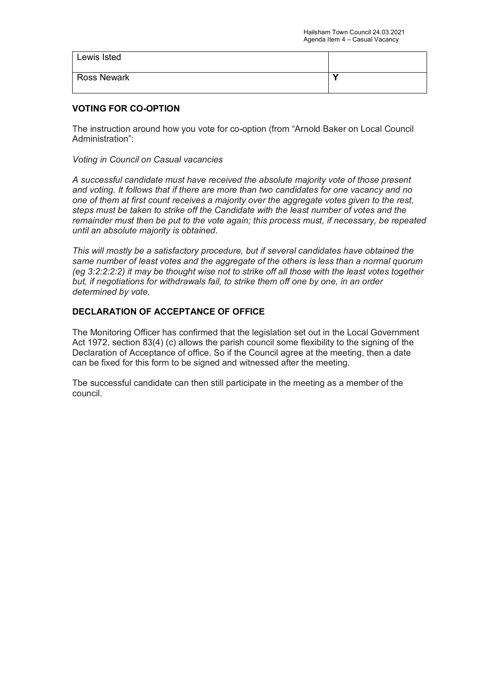| Lewis Isted        |  |
|--------------------|--|
| <b>Ross Newark</b> |  |

# **VOTING FOR CO-OPTION**

The instruction around how you vote for co-option (from "Arnold Baker on Local Council Administration":

*Voting in Council on Casual vacancies*

*A successful candidate must have received the absolute majority vote of those present and voting. It follows that if there are more than two candidates for one vacancy and no one of them at first count receives a majority over the aggregate votes given to the rest, steps must be taken to strike off the Candidate with the least number of votes and the remainder must then be put to the vote again; this process must, if necessary, be repeated until an absolute majority is obtained.*

*This will mostly be a satisfactory procedure, but if several candidates have obtained the same number of least votes and the aggregate of the others is less than a normal quorum (eg 3:2:2:2:2) it may be thought wise not to strike off all those with the least votes together but, if negotiations for withdrawals fail, to strike them off one by one, in an order determined by vote.*

# **DECLARATION OF ACCEPTANCE OF OFFICE**

The Monitoring Officer has confirmed that the legislation set out in the Local Government Act 1972, section 83(4) (c) allows the parish council some flexibility to the signing of the Declaration of Acceptance of office. So if the Council agree at the meeting, then a date can be fixed for this form to be signed and witnessed after the meeting.

Tbe successful candidate can then still participate in the meeting as a member of the council.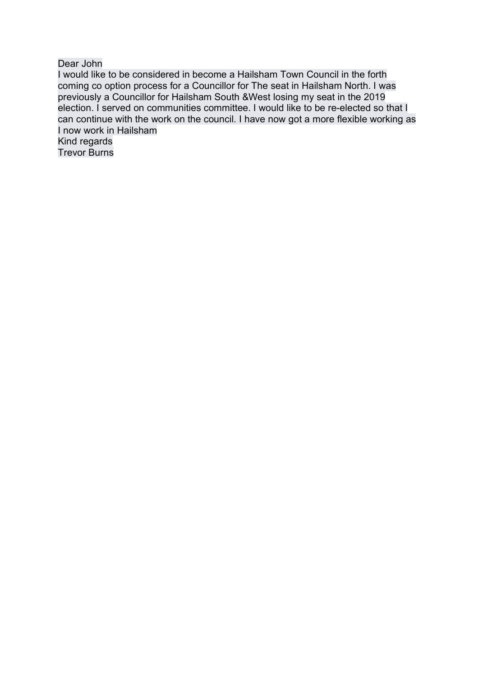Dear John

I would like to be considered in become a Hailsham Town Council in the forth coming co option process for a Councillor for The seat in Hailsham North. I was previously a Councillor for Hailsham South &West losing my seat in the 2019 election. I served on communities committee. I would like to be re-elected so that I can continue with the work on the council. I have now got a more flexible working as I now work in Hailsham Kind regards

Trevor Burns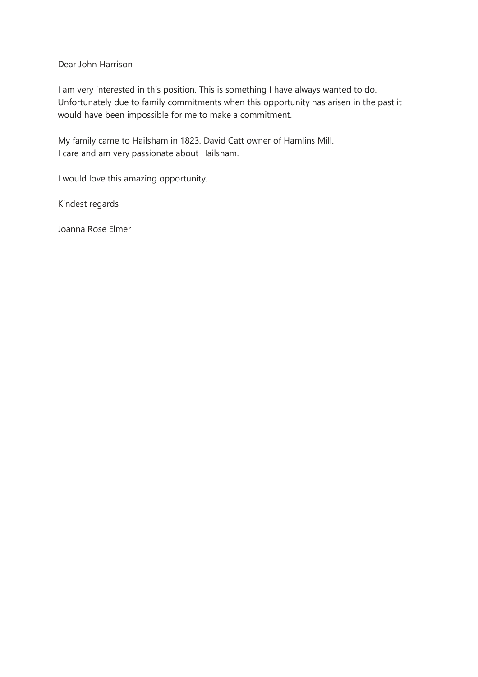Dear John Harrison

I am very interested in this position. This is something I have always wanted to do. Unfortunately due to family commitments when this opportunity has arisen in the past it would have been impossible for me to make a commitment.

My family came to Hailsham in 1823. David Catt owner of Hamlins Mill. I care and am very passionate about Hailsham.

I would love this amazing opportunity.

Kindest regards

Joanna Rose Elmer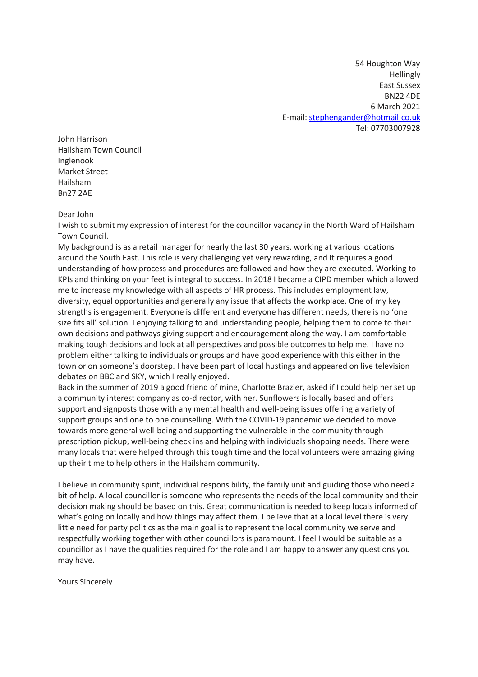54 Houghton Way **Hellingly** East Sussex BN22 4DE 6 March 2021 E-mail: stephengander@hotmail.co.uk Tel: 07703007928

John Harrison Hailsham Town Council Inglenook Market Street Hailsham Bn27 2AE

Dear John

I wish to submit my expression of interest for the councillor vacancy in the North Ward of Hailsham Town Council.

My background is as a retail manager for nearly the last 30 years, working at various locations around the South East. This role is very challenging yet very rewarding, and It requires a good understanding of how process and procedures are followed and how they are executed. Working to KPIs and thinking on your feet is integral to success. In 2018 I became a CIPD member which allowed me to increase my knowledge with all aspects of HR process. This includes employment law, diversity, equal opportunities and generally any issue that affects the workplace. One of my key strengths is engagement. Everyone is different and everyone has different needs, there is no 'one size fits all' solution. I enjoying talking to and understanding people, helping them to come to their own decisions and pathways giving support and encouragement along the way. I am comfortable making tough decisions and look at all perspectives and possible outcomes to help me. I have no problem either talking to individuals or groups and have good experience with this either in the town or on someone's doorstep. I have been part of local hustings and appeared on live television debates on BBC and SKY, which I really enjoyed.

Back in the summer of 2019 a good friend of mine, Charlotte Brazier, asked if I could help her set up a community interest company as co-director, with her. Sunflowers is locally based and offers support and signposts those with any mental health and well-being issues offering a variety of support groups and one to one counselling. With the COVID-19 pandemic we decided to move towards more general well-being and supporting the vulnerable in the community through prescription pickup, well-being check ins and helping with individuals shopping needs. There were many locals that were helped through this tough time and the local volunteers were amazing giving up their time to help others in the Hailsham community.

I believe in community spirit, individual responsibility, the family unit and guiding those who need a bit of help. A local councillor is someone who represents the needs of the local community and their decision making should be based on this. Great communication is needed to keep locals informed of what's going on locally and how things may affect them. I believe that at a local level there is very little need for party politics as the main goal is to represent the local community we serve and respectfully working together with other councillors is paramount. I feel I would be suitable as a councillor as I have the qualities required for the role and I am happy to answer any questions you may have.

Yours Sincerely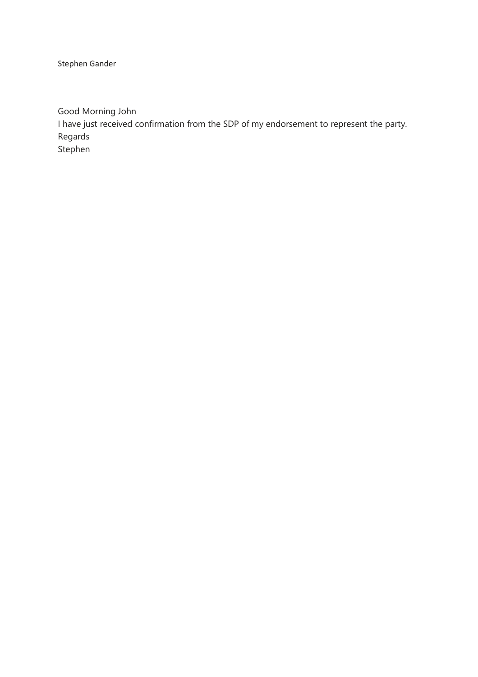Stephen Gander

Good Morning John I have just received confirmation from the SDP of my endorsement to represent the party. Regards Stephen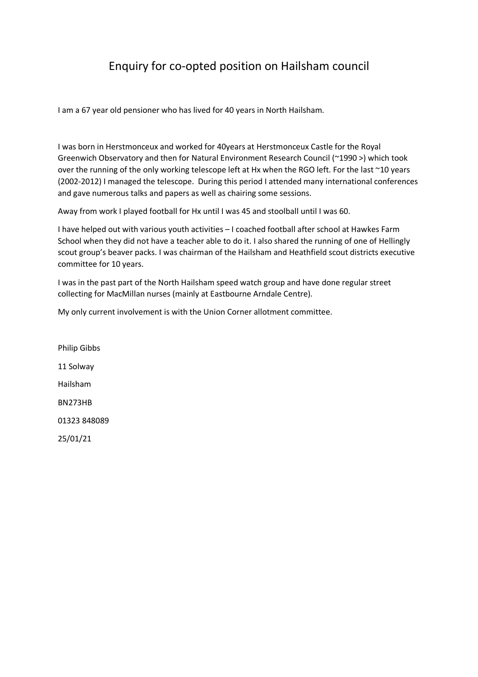# Enquiry for co-opted position on Hailsham council

I am a 67 year old pensioner who has lived for 40 years in North Hailsham.

I was born in Herstmonceux and worked for 40years at Herstmonceux Castle for the Royal Greenwich Observatory and then for Natural Environment Research Council (~1990 >) which took over the running of the only working telescope left at Hx when the RGO left. For the last ~10 years (2002-2012) I managed the telescope. During this period I attended many international conferences and gave numerous talks and papers as well as chairing some sessions.

Away from work I played football for Hx until I was 45 and stoolball until I was 60.

I have helped out with various youth activities – I coached football after school at Hawkes Farm School when they did not have a teacher able to do it. I also shared the running of one of Hellingly scout group's beaver packs. I was chairman of the Hailsham and Heathfield scout districts executive committee for 10 years.

I was in the past part of the North Hailsham speed watch group and have done regular street collecting for MacMillan nurses (mainly at Eastbourne Arndale Centre).

My only current involvement is with the Union Corner allotment committee.

Philip Gibbs 11 Solway Hailsham BN273HB 01323 848089 25/01/21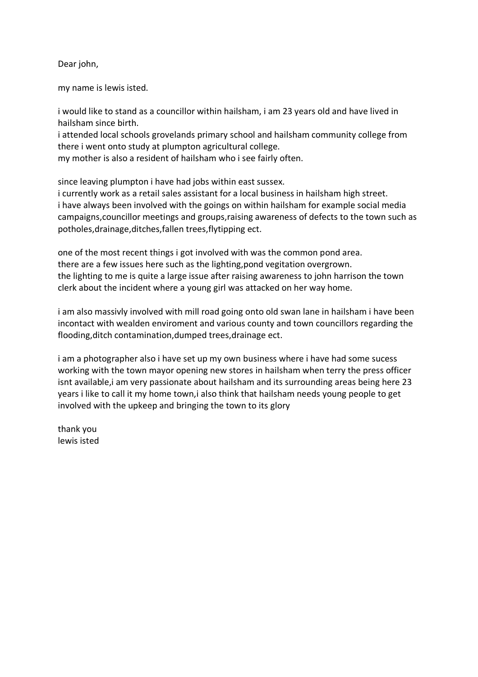Dear john,

my name is lewis isted.

i would like to stand as a councillor within hailsham, i am 23 years old and have lived in hailsham since birth.

i attended local schools grovelands primary school and hailsham community college from there i went onto study at plumpton agricultural college.

my mother is also a resident of hailsham who i see fairly often.

since leaving plumpton i have had jobs within east sussex.

i currently work as a retail sales assistant for a local business in hailsham high street. i have always been involved with the goings on within hailsham for example social media campaigns,councillor meetings and groups,raising awareness of defects to the town such as potholes,drainage,ditches,fallen trees,flytipping ect.

one of the most recent things i got involved with was the common pond area. there are a few issues here such as the lighting,pond vegitation overgrown. the lighting to me is quite a large issue after raising awareness to john harrison the town clerk about the incident where a young girl was attacked on her way home.

i am also massivly involved with mill road going onto old swan lane in hailsham i have been incontact with wealden enviroment and various county and town councillors regarding the flooding,ditch contamination,dumped trees,drainage ect.

i am a photographer also i have set up my own business where i have had some sucess working with the town mayor opening new stores in hailsham when terry the press officer isnt available, i am very passionate about hailsham and its surrounding areas being here 23 years i like to call it my home town,i also think that hailsham needs young people to get involved with the upkeep and bringing the town to its glory

thank you lewis isted